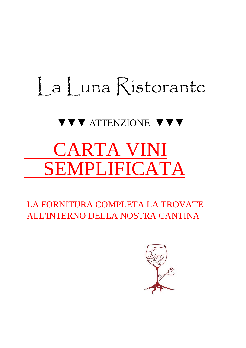# La Luna Ristorante

## ▼▼▼ ATTENZIONE ▼▼▼

## CARTA VINI SEMPLIFICATA

 LA FORNITURA COMPLETA LA TROVATE ALL'INTERNO DELLA NOSTRA CANTINA

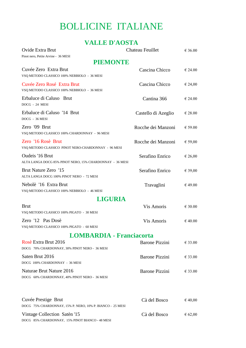## BOLLICINE ITALIANE

#### **VALLE D'AOSTA**

| Ovide Extra Brut                                                                 | Chateau Feuillet      | € 36.00          |
|----------------------------------------------------------------------------------|-----------------------|------------------|
| Pinot nero, Petite Arvine - 36 MESI<br><b>PIEMONTE</b>                           |                       |                  |
| Cuvée Zero Extra Brut<br>VSQ METODO CLASSICO 100% NEBBIOLO - 36 MESI             | Cascina Chicco        | $\epsilon$ 24.00 |
| Cuvée Zero Rosé Extra Brut<br>VSQ METODO CLASSICO 100% NEBBIOLO - 36 MESI        | Cascina Chicco        | € 24,00          |
| Erbaluce di Caluso Brut<br>DOCG - 24 MESI                                        | Cantina 366           | € 24.00          |
| Erbaluce di Caluso '14 Brut<br>DOCG - 36 MESI                                    | Castello di Azeglio   | $\epsilon$ 28.00 |
| Zero '09 Brut<br>VSQ METODO CLASSICO 100% CHARDONNAY - 96 MESI                   | Rocche dei Manzoni    | € 59.00          |
| Zero '16 Rosè Brut<br>VSQ METODO CLASSICO PINOT NERO-CHARDONNAY - 96 MESI        | Rocche dei Manzoni    | € 59,00          |
| Oudeis '16 Brut<br>ALTA LANGA DOCG 85% PINOT NERO, 15% CHARDONNAY - 36 MESI      | Serafino Enrico       | € 26,00          |
| Brut Nature Zero '15<br>ALTA LANGA DOCG 100% PINOT NERO - 72 MESI                | Serafino Enrico       | € 39,00          |
| Nebolè '16 Extra Brut<br>VSQ METODO CLASSICO 100% NEBBIOLO - 46 MESI             | Travaglini            | €49.00           |
| <b>LIGURIA</b>                                                                   |                       |                  |
| <b>Brut</b><br>VSQ METODO CLASSICO 100% PIGATO - 30 MESI                         | Vis Amoris            | € 30.00          |
| Zero '12 Pas Dosè<br>VSQ METODO CLASSICO 100% PIGATO - 60 MESI                   | Vis Amoris            | $\epsilon$ 40.00 |
| <b>LOMBARDIA - Franciacorta</b>                                                  |                       |                  |
| Rosè Extra Brut 2016<br>DOCG 70% CHARDONNAY, 30% PINOT NERO - 36 MESI            | <b>Barone Pizzini</b> | $\epsilon$ 33.00 |
| Saten Brut 2016<br>DOCG 100% CHARDONNAY - 36 MESI                                | <b>Barone Pizzini</b> | $\epsilon$ 33.00 |
| Naturae Brut Nature 2016<br>DOCG 60% CHARDONNAY, 40% PINOT NERO - 36 MESI        | <b>Barone Pizzini</b> | $\epsilon$ 33.00 |
| Cuvée Prestige Brut<br>DOCG 75% CHARDONNAY, 15% P. NERO, 10% P. BIANCO - 25 MESI | Cà del Bosco          | 640,00           |
| Vintage Collection Satèn '15<br>DOCG 85% CHARDONNAY, 15% PINOT BIANCO - 48 MESI  | Cà del Bosco          | 662,00           |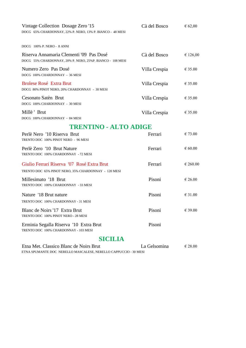| Vintage Collection Dosage Zero '15<br>DOCG 65% CHARDONNAY, 22% P. NERO, 13% P. BIANCO - 48 MESI      | Cà del Bosco  | € 62,00          |  |
|------------------------------------------------------------------------------------------------------|---------------|------------------|--|
| DOCG 100% P. NERO - 8 ANNI                                                                           |               |                  |  |
| Riserva Annamaria Clementi '09 Pas Dosé<br>DOCG 55% CHARDONNAY, 20% P. NERO, 25%P. BIANCO - 108 MESI | Cà del Bosco  | € 126,00         |  |
| Numero Zero Pas Dosé<br>DOCG 100% CHARDONNAY - 36 MESI                                               | Villa Crespia | $\epsilon$ 35.00 |  |
| <b>Brolese Rosé Extra Brut</b><br>DOCG 80% PINOT NERO, 20% CHARDONNAY - 30 MESI                      | Villa Crespia | $\epsilon$ 35.00 |  |
| Cesonato Satèn Brut<br>DOCG 100% CHARDONNAY - 30 MESI                                                | Villa Crespia | $\epsilon$ 35.00 |  |
| Millè ' Brut<br>DOCG 100% CHARDONNAY - 84 MESI                                                       | Villa Crespia | € 35.00          |  |
| <b>TRENTINO - ALTO ADIGE</b>                                                                         |               |                  |  |
| Perlè Nero '10 Riserva Brut<br>TRENTO DOC 100% PINOT NERO - 96 MESI                                  | Ferrari       | € 73.00          |  |
| Perlè Zero '10 Brut Nature<br>TRENTO DOC 100% CHARDONNAY - 72 MESI                                   | Ferrari       | $\epsilon$ 60.00 |  |
| Giulio Ferrari Riserva '07 Rosé Extra Brut<br>TRENTO DOC 65% PINOT NERO, 35% CHARDONNAY - 120 MESI   | Ferrari       | € 260.00         |  |
| Millesimato '18 Brut<br>TRENTO DOC 100% CHARDONNAY - 33 MESI                                         | Pisoni        | € 26.00          |  |
| Nature '18 Brut nature<br>TRENTO DOC 100% CHARDONNAY - 31 MESI                                       | Pisoni        | $\epsilon$ 31.00 |  |
| Blanc de Noirs '17 Extra Brut<br>TRENTO DOC 100% PINOT NERO - 28 MESI                                | Pisoni        | € 39.00          |  |
| Erminia Segalla Riserva '10 Extra Brut<br>TRENTO DOC 100% CHARDONNAY - 103 MESI                      | Pisoni        |                  |  |
| <b>SICILIA</b>                                                                                       |               |                  |  |
| Etna Met Classico Blanc de Noirs Brut                                                                | I a Gelsomina | $\epsilon$ 28.00 |  |

| Etna Met. Classico Blanc de Noirs Brut                           | La Gelsomina | € 28.00 |
|------------------------------------------------------------------|--------------|---------|
| ETNA SPUMANTE DOC NERELLO MASCALESE, NERELLO CAPPUCCIO - 30 MESI |              |         |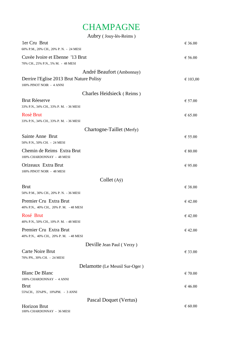## **CHAMPAGNE**

| Aubry (Jouy-lès-Reims)                                                |                  |
|-----------------------------------------------------------------------|------------------|
| 1er Cru Brut<br>60% P.M., 20% CH., 20% P.N. - 24 MESI                 | € 36.00          |
| Cuvèe Ivoire et Ebenne '13 Brut<br>70% CH., 25% P.N., 5% M. - 48 MESI | $\epsilon$ 56.00 |
| André Beaufort (Ambonnay)                                             |                  |
| Derrire l'Eglise 2013 Brut Nature Polisy<br>100% PINOT NOIR - 4 ANNI  | € 103,00         |
| Charles Heidsieck (Reims)                                             |                  |
| <b>Brut Réeserve</b><br>33% P.N., 34% CH., 33% P.M. - 36 MESI         | $\epsilon$ 57.00 |
| <b>Rosè Brut</b><br>33% P.N., 34% CH., 33% P.M. - 36 MESI             | $\epsilon$ 65.00 |
| Chartogne-Taillet (Merfy)                                             |                  |
| Sainte Anne Brut<br>50% P.N., 50% CH. - 24 MESI                       | $\epsilon$ 55.00 |
| Chemin de Reims Extra Brut<br>100% CHARDONNAY - 48 MESI               | $\epsilon$ 80.00 |
| Orizeaux Extra Brut<br>100% PINOT NOIR - 48 MESI                      | $\epsilon$ 95.00 |
| Collet $(A\ddot{y})$                                                  |                  |
| <b>Brut</b><br>50% P.M., 30% CH., 20% P.N. - 36 MESI                  | € 38.00          |
| Premier Cru Extra Brut<br>40% P.N., 40% CH., 20% P.M. - 48 MESI       | $\epsilon$ 42.00 |
| Rosé Brut<br>40% P.N., 50% CH., 10% P.M. - 48 MESI                    | € 42.00          |
| Premier Cru Extra Brut<br>40% P.N., 40% CH., 20% P.M. - 48 MESI       | € 42.00          |
| Deville Jean Paul (Verzy)                                             |                  |
| Carte Noire Brut<br>70% PN., 30% CH. - 24 MESI                        | € 33.00          |
| Delamotte (Le Mesnil Sur-Oger)                                        |                  |
| <b>Blanc De Blanc</b><br>100% CHARDONNAY - 4 ANNI                     | € 70.00          |
| <b>Brut</b>                                                           | € 46.00          |
| 55% CH., 35% PN., 10% PM. - 3 ANNI                                    |                  |
| Pascal Doquet (Vertus)                                                |                  |
| Horizon Brut                                                          | $\epsilon$ 60.00 |

100% CHARDONNAY - 36 MESI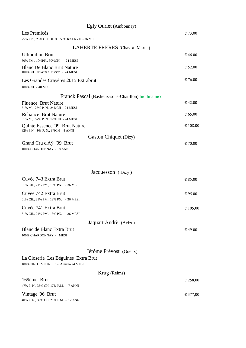| Egly Ouriet (Ambonnay)                                                      |                  |
|-----------------------------------------------------------------------------|------------------|
| Les Premicés                                                                | € 73.00          |
| 75% P.N., 25% CH. DI CUI 50% RISERVE - 36 MESI                              |                  |
| LAHERTE FRERES (Chavot-Marna)                                               |                  |
| <b>Ultradition Brut</b>                                                     | € 46.00          |
| 60% PM., 10% PN., 30% CH. - 24 MESI                                         |                  |
| <b>Blanc De Blanc Brut Nature</b><br>100% CH. 50% vini di riserva - 24 MESI | $\epsilon$ 52.00 |
| Les Grandes Crayères 2015 Extrabrut                                         | $\epsilon$ 76.00 |
| 100%CH. - 48 MESI                                                           |                  |
| Franck Pascal (Baslieux-sous-Chatillon) biodinamico                         |                  |
| <b>Fluence Brut Nature</b><br>51% M., 25% P.N., 24% CH - 24 MESI            | €42.00           |
| <b>Reliance Brut Nature</b><br>31% M., 57% P.N., 12% CH - 24 MESI           | $\epsilon$ 65.00 |
| Quinte Essence '09 Brut Nature<br>82% P.N., 9% P.N., 9% CH - 8 ANNI         | € 108.00         |
| Gaston Chiquet (Dizy)                                                       |                  |
| Grand Cru d'Aÿ '09 Brut<br>100% CHARDONNAY - 8 ANNI                         | $\epsilon$ 70.00 |
| Jacquesson (Dizy)                                                           |                  |
| Cuvèe 743 Extra Brut<br>61% CH., 21% PM., 18% PN. - 36 MESI                 | $\epsilon$ 85.00 |
| Cuvèe 742 Extra Brut<br>61% CH., 21% PM., 18% PN. - 36 MESI                 | $\epsilon$ 95.00 |
| Cuvèe 741 Extra Brut                                                        | € 105,00         |
| 61% CH., 21% PM., 18% PN. - 36 MESI                                         |                  |
| Jaquart Andrè (Avize)                                                       |                  |
| Blanc de Blanc Extra Brut<br>100% CHARDONNAY - MESI                         | €49.00           |
| Jérôme Prévost (Gueux)                                                      |                  |
| La Closerie Les Béguines Extra Brut<br>100% PINOT MEUNIER - Almeno 24 MESI  |                  |
| Krug (Reims)                                                                |                  |
| 169ème Brut<br>47% P. N., 36% CH, 17% P.M. - 7 ANNI                         | € 258,00         |
| Vintage '06 Brut<br>40% P. N., 39% CH, 21% P.M. - 12 ANNI                   | € 377,00         |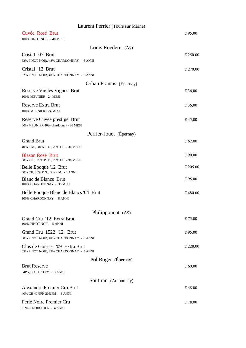| Laurent Perrier (Tours sur Marne)                                         |                  |
|---------------------------------------------------------------------------|------------------|
| Cuvée Rosé Brut<br>100% PINOT NOIR - 48 MESI                              | € 95,00          |
| Louis Roederer (Aÿ)                                                       |                  |
| Cristal '07 Brut<br>52% PINOT NOIR, 48% CHARDONNAY - 6 ANNI               | € 250.00         |
| Cristal '12 Brut<br>52% PINOT NOIR, 48% CHARDONNAY - 6 ANNI               | € 270.00         |
| Orban Francis (Épernay)                                                   |                  |
| Reserve Vielles Vignes Brut<br>100% MEUNIER - 24 MESI                     | € 36,00          |
| <b>Reserve Extra Brut</b><br>100% MEUNIER - 24 MESI                       | € 36,00          |
| Reserve Cuvee prestige Brut<br>60% MEUNIER 40% chardonnay - 36 MESI       | € 45,00          |
| Perrier-Jouét (Épernay)                                                   |                  |
| <b>Grand Brut</b><br>40% P.M., 40% P.N., 20% CH - 36 MESI                 | $\epsilon$ 62.00 |
| <b>Blason Rosé Brut</b><br>50% P.N., 25% P.M., 25% CH - 36 MESI           | $\epsilon$ 90.00 |
| Belle Epoque '12 Brut<br>50% CH, 45% P.N., 5% P.M. - 5 ANNI               | € 205.00         |
| Blanc de Blancs Brut<br>100% CHARDONNAY - 36 MESI                         | $\epsilon$ 95.00 |
| Belle Epoque Blanc de Blancs '04 Brut<br>100% CHARDONNAY - 8 ANNI         | € 480.00         |
| Philipponnat (Aÿ)                                                         |                  |
| Grand Cru '12 Extra Brut<br>100% PINOT NOIR - 5 ANNI                      | $\epsilon$ 75.00 |
| Grand Cru 1522 '12 Brut<br>60% PINOT NOIR, 40% CHARDONNAY - 8 ANNI        | $\epsilon$ 95.00 |
| Clos de Goisses '09 Extra Brut<br>65% PINOT NOIR, 35% CHARDONNAY - 9 ANNI | € 228.00         |
| Pol Roger (Épernay)                                                       |                  |
| <b>Brut Reserve</b><br>34PN, 33CH, 33 PM - 3 ANNI                         | $\epsilon$ 60.00 |
| Soutiran (Ambonnay)                                                       |                  |
| Alexandre Premier Cru Brut<br>40% CH 40% PN 20% PM - 3 ANNI               | €48.00           |
| Perlè Noire Premier Cru<br>PINOT NOIR 100% - 4 ANNI                       | $\epsilon$ 78.00 |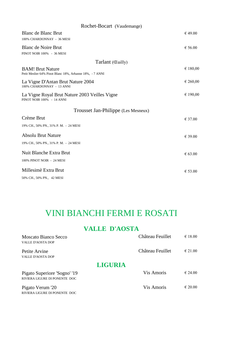| Rochet-Bocart (Vaudemange)                                                          |          |
|-------------------------------------------------------------------------------------|----------|
| Blanc de Blanc Brut<br>100% CHARDONNAY - 36 MESI                                    | € 49.00  |
| <b>Blanc de Noire Brut</b><br>PINOT NOIR 100% - 36 MESI                             | € 56.00  |
| Tarlant (Cuilly)                                                                    |          |
| <b>BAM!</b> Brut Nature<br>Petit Meslier 64% Pinot Blanc 18%, Arbanne 18%, - 7 ANNI | € 180,00 |
| La Vigne D'Antan Brut Nature 2004<br>100% CHARDONNAY - 13 ANNI                      | € 260,00 |
| La Vigne Royal Brut Nature 2003 Veilles Vigne<br>PINOT NOIR 100% - 14 ANNI          | € 190,00 |
| Trousset Jan-Philippe (Les Mesneux)                                                 |          |
| Crème Brut<br>19% CH., 50% PN., 31% P.M. - 24 MESI                                  | € 37.00  |
| <b>Absolu Brut Nature</b><br>19% CH., 50% PN., 31% P.M. - 24 MESI                   | € 39.00  |
| Nuit Blanche Extra Brut<br>100% PINOT NOIR - 24 MESI                                | € 63.00  |
| Millesimè Extra Brut<br>50% CH., 50% PN., 42 MESI                                   | € 53.00  |

## VINI BIANCHI FERMI E ROSATI

#### **VALLE D'AOSTA**

| Moscato Bianco Secco          | Château Feuillet  | $\epsilon$ 18.00 |
|-------------------------------|-------------------|------------------|
| VALLE D'AOSTA DOP             |                   |                  |
| Petite Arvine                 | Château Feuillet  | $\epsilon$ 21.00 |
| VALLE D'AOSTA DOP             |                   |                  |
| <b>LIGURIA</b>                |                   |                  |
| Pigato Superiore 'Sogno' '19  | Vis Amoris        | $\epsilon$ 24.00 |
| RIVIERA LIGURE DI PONENTE DOC |                   |                  |
| Pigato Verum '20              | <b>Vis Amoris</b> | $\epsilon$ 20.00 |
| RIVIERA LIGURE DI PONENTE DOC |                   |                  |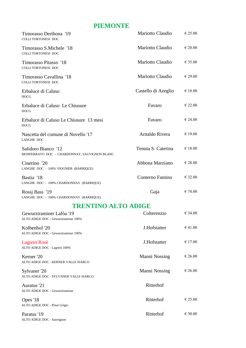#### **PIEMONTE**

| Timorasso Derthona '19<br><b>COLLITORTONESI DOC</b>                 | Mariotto Claudio        | $\epsilon$ 25.00 |
|---------------------------------------------------------------------|-------------------------|------------------|
| Timorasso S.Michele '18<br><b>COLLITORTONESI DOC</b>                | <b>Mariotto Claudio</b> | $\epsilon$ 20.00 |
| Timorasso Pitasso '18<br><b>COLLITORTONESI DOC</b>                  | Mariotto Claudio        | $\epsilon$ 35.00 |
| Timorasso Cavallina '18<br><b>COLLITORTONESI DOC</b>                | Mariotto Claudio        | $\epsilon$ 29.00 |
| Erbaluce di Caluso<br><b>DOCG</b>                                   | Castello di Azeglio     | €18.00           |
| Erbaluce di Caluso Le Chiusure<br><b>DOCG</b>                       | Favaro                  | $\epsilon$ 22.00 |
| Erbaluce di Caluso Le Chiusure 13 mesi<br><b>DOCG</b>               | Favaro                  | € 24.00          |
| Nascetta del comune di Novello '17<br><b>LANGHE DOC</b>             | Arnaldo Rivera          | $\epsilon$ 19.00 |
| Salidoro Bianco '12<br>MONFERRATO DOC - CHARDONNAY, SAUVIGNON BLANC | Tenuta S. Caterina      | $\epsilon$ 18.00 |
| Cinerino '20<br>LANGHE DOC - 100% VIOGNIER (BARRIQUE)               | Abbona Marziano         | $\epsilon$ 28.00 |
| Bastia '18<br>LANGHE DOC - 100% CHARDONNAY (BARRIQUE)               | Conterno Fantino        | € 32.00          |
| Rossi Bass '19<br>LANGHE DOC - 100% CHARDONNAY (BARRIQUE)           | Gaja                    | € 74.00          |
| <b>TRENTINO ALTO ADIGE</b>                                          |                         |                  |
| Gewurztraminer Lafòa '19<br>ALTO ADIGE DOC - Gewurztraminer 100%    | Colterenzio             | € 34.00          |
| Kolbenhof '20<br>ALTO ADIGE DOC - Gewurztraminer 100%               | J.Hofstatter            | $\epsilon$ 41.00 |
| Lagrein Rosè<br>ALTO ADIGE DOC - Lagrein 100%                       | J.Hofstatter            | € 17.00          |
| Kerner '20<br>ALTO ADIGE DOC - KERNER VALLE ISARCO                  | Manni Nossing           | $\epsilon$ 26.00 |
| Sylvaner '20<br>ALTO ADIGE DOC - SYLVANER VALLE ISARCO              | Manni Nossing           | € 26.00          |
| Auratus '21<br>ALTO ADIGE DOC - Gewurztraminer                      | Ritterhof               |                  |
| Opes '18<br>ALTO ADIGE DOC - Pinot Grigio                           | Ritterhof               | $\epsilon$ 25.00 |
| Paratus '19<br>ALTO ADIGE DOC - Sauvignon                           | Ritterhof               | € 30.00          |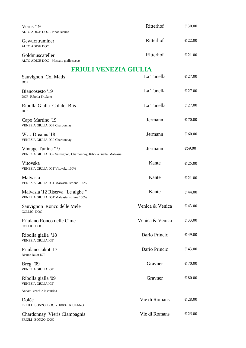| Verus '19<br>ALTO ADIGE DOC - Pinot Bianco                                               | Ritterhof       | $\epsilon$ 30.00 |
|------------------------------------------------------------------------------------------|-----------------|------------------|
| Gewurztraminer<br><b>ALTO ADIGE DOC</b>                                                  | Ritterhof       | $\epsilon$ 22.00 |
| Goldmuscateller<br>ALTO ADIGE DOC - Moscato giallo secco                                 | Ritterhof       | $\epsilon$ 21.00 |
| <b>FRIULI VENEZIA GIULIA</b>                                                             |                 |                  |
| Sauvignon Col Matis<br><b>DOP</b>                                                        | La Tunella      | $\epsilon$ 27.00 |
| Biancosesto '19<br>DOP-Ribolla Friulano                                                  | La Tunella      | $\epsilon$ 27.00 |
| Ribolla Gialla Col del Blis<br><b>DOP</b>                                                | La Tunella      | $\epsilon$ 27.00 |
| Capo Martino '19<br>VENEZIA GIULIA IGP Chardonnay                                        | Jermann         | $\epsilon$ 70.00 |
| W Dreams '18<br>VENEZIA GIULIA IGP Chardonnay                                            | Jermann         | $\epsilon$ 60.00 |
| Vintage Tunina '19<br>VENEZIA GIULIA IGP Sauvignon, Chardonnay, Ribolla Gialla, Malvasia | Jermann         | €59.00           |
| Vitovska<br>VENEZIA GIULIA IGT Vitovska 100%                                             | Kante           | $\epsilon$ 25.00 |
| Malvasia<br>VENEZIA GIULIA IGT Malvasia Istriana 100%                                    | Kante           | $\epsilon$ 21.00 |
| Malvasia '12 Riserva "Le alghe "<br>VENEZIA GIULIA IGT Malvasia Istriana 100%            | Kante           | $\epsilon$ 44.00 |
| Sauvignon Ronco delle Mele<br>COLLIO DOC                                                 | Venica & Venica | € 43.00          |
| Friulano Ronco delle Cime<br>COLLIO DOC                                                  | Venica & Venica | $\epsilon$ 33.00 |
| Ribolla gialla '18<br><b>VENEZIA GIULIA IGT</b>                                          | Dario Princic   | € 49.00          |
| Friulano Jakot '17<br>Bianco Jakot IGT                                                   | Dario Princic   | €43.00           |
| Breg '09<br><b>VENEZIA GIULIA IGT</b>                                                    | Gravner         | $\epsilon$ 70.00 |
| Ribolla gialla '09<br><b>VENEZIA GIULIA IGT</b>                                          | Gravner         | $\epsilon$ 80.00 |
| Annate vecchie in cantina                                                                |                 |                  |
| Dolée<br>FRIULI ISONZO DOC - 100% FRIULANO                                               | Vie di Romans   | $\epsilon$ 28.00 |
| Chardonnay Vieris Ciampagnis<br>FRIULI ISONZO DOC                                        | Vie di Romans   | €25.00           |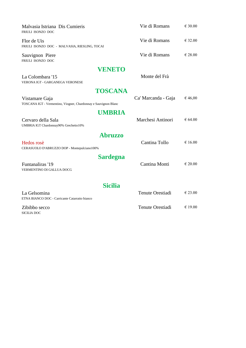| Malvasia Istriana Dis Cumieris<br>FRIULI ISONZO DOC                               | Vie di Romans           | € 30.00          |
|-----------------------------------------------------------------------------------|-------------------------|------------------|
| Flor de Uis<br>FRIULI ISONZO DOC - MALVASIA, RIESLING, TOCAI                      | Vie di Romans           | € 32.00          |
| Sauvignon Piere<br>FRIULI ISONZO DOC                                              | Vie di Romans           | €28.00           |
| <b>VENETO</b>                                                                     |                         |                  |
| La Colombara '15<br><b>VERONA IGT - GARGANEGA VERONESE</b>                        | Monte del Frà           |                  |
| <b>TOSCANA</b>                                                                    |                         |                  |
| Vistamare Gaja<br>TOSCANA IGT - Vermentino, Viogner, Chardonnay e Sauvignon Blanc | Ca' Marcanda - Gaja     | €46,00           |
| <b>UMBRIA</b>                                                                     |                         |                  |
| Cervaro della Sala<br>UMBRIA IGT Chardonnay90% Grechetto10%                       | Marchesi Antinori       | € 64.00          |
| <b>Abruzzo</b>                                                                    |                         |                  |
| Hedos rosè<br>CERASUOLO D'ABRUZZO DOP - Montepulciano100%                         | Cantina Tollo           | € 16.00          |
| <b>Sardegna</b>                                                                   |                         |                  |
| Funtanaliras '19<br>VERMENTINO DI GALLUA DOCG                                     | Cantina Monti           | $\epsilon$ 20.00 |
| <b>Sicilia</b>                                                                    |                         |                  |
| La Gelsomina<br>ETNA BIANCO DOC - Carricante Catarratto bianco                    | <b>Tenute Orestiadi</b> | $\epsilon$ 23.00 |
| Zibibbo secco<br><b>SICILIA DOC</b>                                               | Tenute Orestiadi        | $\epsilon$ 19.00 |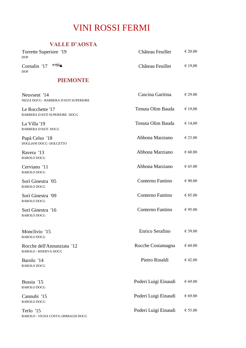### VINI ROSSI FERMI

#### **VALLE D'AOSTA**

| VALLE D'AOSTA                                              |                   |                  |
|------------------------------------------------------------|-------------------|------------------|
| Torrette Superiore '19<br><b>DOP</b>                       | Château Feuillet  | $\epsilon$ 20.00 |
| $\rightarrow$<br>Cornalin '17<br><b>DOP</b>                | Château Feuillet  | € 19,00          |
| <b>PIEMONTE</b>                                            |                   |                  |
| Neuvsent '14<br>NIZZA DOCG - BARBERA D'ASTI SUPERIORE      | Cascina Garitina  | $\epsilon$ 29.00 |
| Le Rocchette '17<br>BARBERA D'ASTI SUPERIORE DOCG          | Tenuta Olim Bauda | € 19,00          |
| La Villa '19<br><b>BARBERA D'ASTI DOCG</b>                 | Tenuta Olim Bauda | € 14,00          |
| Papà Celso '18<br>DOGLIANI DOCG - DOLCETTO                 | Abbona Marziano   | € 23.00          |
| Ravera '13<br><b>BAROLO DOCG</b>                           | Abbona Marziano   | $\epsilon$ 60.00 |
| Cerviano '11<br><b>BAROLO DOCG</b>                         | Abbona Marziano   | $\epsilon$ 65.00 |
| Sorì Ginestra '05<br><b>BAROLO DOCG</b>                    | Conterno Fantino  | $\epsilon$ 90.00 |
| Sorì Ginestra '09<br><b>BAROLO DOCG</b>                    | Conterno Fantino  | $\in$ 85.00      |
| Sorì Ginestra '16<br><b>BAROLO DOCG</b>                    | Conterno Fantino  | € 95.00          |
| Monclivio '15<br><b>BAROLO DOCG</b>                        | Enrico Serafino   | € 39.00          |
| Rocche dell'Annunziata '12<br><b>BAROLO - RISERVA DOCG</b> | Rocche Costamagna | $\epsilon$ 60.00 |

Barolo '14 Pietro Rinaldi  $\epsilon$  42.00 BAROLO DOCG

Bussia '15 Poderi Luigi Einaudi € 69.00 BAROLO DOCG

BAROLO DOCG

Terlo '15 Poderi Luigi Einaudi € 55.00 BAROLO - VIGNA COSTA GRIMALDI DOCG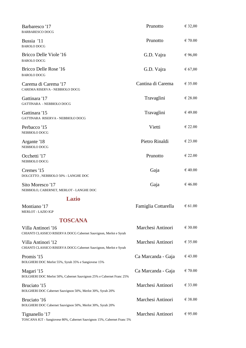| Barbaresco '17<br><b>BARBARESCO DOCG</b>                                                  | Prunotto            | € 32,00          |
|-------------------------------------------------------------------------------------------|---------------------|------------------|
| Bussia '11<br><b>BAROLO DOCG</b>                                                          | Prunotto            | $\epsilon$ 70.00 |
| Bricco Delle Viole '16<br><b>BAROLO DOCG</b>                                              | G.D. Vajra          | 6,00             |
| Bricco Delle Rose '16<br><b>BAROLO DOCG</b>                                               | G.D. Vajra          | 67,00            |
| Carema di Carema '17<br>CAREMA RISERVA - NEBBIOLO DOCG                                    | Cantina di Carema   | $\epsilon$ 35.00 |
| Gattinara '17<br>GATTINARA - NEBBIOLO DOCG                                                | Travaglini          | $\epsilon$ 28.00 |
| Gattinara '15<br>GATTINARA RISERVA - NEBBIOLO DOCG                                        | Travaglini          | €49.00           |
| Perbacco '15<br>NEBBIOLO DOCG                                                             | Vietti              | $\epsilon$ 22.00 |
| Argante '18<br>NEBBIOLO DOCG                                                              | Pietro Rinaldi      | $\epsilon$ 23.00 |
| Occhetti '17<br>NEBBIOLO DOCG                                                             | Prunotto            | $\epsilon$ 22.00 |
| Cremes '15<br>DOLCETTO , NEBBIOLO 50% - LANGHE DOC                                        | Gaja                | € 40.00          |
| Sito Moresco '17<br>NEBBIOLO, CABERNET, MERLOT - LANGHE DOC                               | Gaja                | € 46.00          |
| <b>Lazio</b>                                                                              |                     |                  |
| Montiano '17<br><b>MERLOT - LAZIO IGP</b>                                                 | Famiglia Cottarella | $\epsilon$ 61.00 |
| <b>TOSCANA</b>                                                                            |                     |                  |
| Villa Antinori '16<br>CHIANTI CLASSICO RISERVA DOCG Cabernet Sauvignon, Merlot e Syrah    | Marchesi Antinori   | $\epsilon$ 30.00 |
| Villa Antinori '12<br>CHIANTI CLASSICO RISERVA DOCG Cabernet Sauvignon, Merlot e Syrah    | Marchesi Antinori   | € 35.00          |
| Promis '15<br>BOLGHERI DOC Merlot 55%, Syrah 35% e Sangiovese 15%                         | Ca Marcanda - Gaja  | € 43.00          |
| Magari '15<br>BOLGHERI DOC Merlot 50%, Cabernet Sauvignon 25% e Cabernet Franc 25%        | Ca Marcanda - Gaja  | $\epsilon$ 70.00 |
| Bruciato '15<br>BOLGHERI DOC Cabernet Sauvignon 50%, Merlot 30%, Syrah 20%                | Marchesi Antinori   | € 33.00          |
| Bruciato '16<br>BOLGHERI DOC Cabernet Sauvignon 50%, Merlot 30%, Syrah 20%                | Marchesi Antinori   | €38.00           |
| Tignanello '17<br>TOSCANA IGT - Sangiovese 80%, Cabernet Sauvignon 15%, Cabernet Franc 5% | Marchesi Antinori   | $\epsilon$ 95.00 |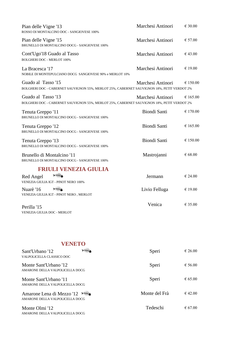| Pian delle Vigne '13<br>ROSSO DI MONTALCINO DOC - SANGIOVESE 100%                                                | Marchesi Antinori   | € 30.00          |
|------------------------------------------------------------------------------------------------------------------|---------------------|------------------|
| Pian delle Vigne '15<br>BRUNELLO DI MONTALCINO DOCG - SANGIOVESE 100%                                            | Marchesi Antinori   | € 57.00          |
| Cont'Ugo'18 Guado al Tasso<br><b>BOLGHERI DOC - MERLOT 100%</b>                                                  | Marchesi Antinori   | € 43.00          |
| La Bracesca '17<br>NOBILE DI MONTEPULCIANO DOCG SANGIOVESE 90% e MERLOT 10%                                      | Marchesi Antinori   | € 19.00          |
| Guado al Tasso '15<br>BOLGHERI DOC - CABERNET SAUVIGNON 55%, MERLOT 25%, CABERNET SAUVIGNON 18%, PETIT VERDOT 2% | Marchesi Antinori   | € 150.00         |
| Guado al Tasso '13<br>BOLGHERI DOC - CABERNET SAUVIGNON 55%, MERLOT 25%, CABERNET SAUVIGNON 18%, PETIT VERDOT 2% | Marchesi Antinori   | € 165.00         |
| Tenuta Greppo '11<br>BRUNELLO DI MONTALCINO DOCG - SANGIOVESE 100%                                               | <b>Biondi Santi</b> | € 170.00         |
| Tenuta Greppo '12<br>BRUNELLO DI MONTALCINO DOCG - SANGIOVESE 100%                                               | <b>Biondi Santi</b> | € 165.00         |
| Tenuta Greppo '13<br>BRUNELLO DI MONTALCINO DOCG - SANGIOVESE 100%                                               | Biondi Santi        | € 150.00         |
| Brunello di Montalcino '11<br>BRUNELLO DI MONTALCINO DOCG - SANGIOVESE 100%                                      | Mastrojanni         | € 68.00          |
| <b>FRIULI VENEZIA GIULIA</b>                                                                                     |                     |                  |
| AHHA<br>Red Angel<br>VENEZIA GIULIA IGT - PINOT NERO 100%                                                        | Jermann             | € 24.00          |
| AHHA<br>Nuarè '16<br>VENEZIA GIULIA IGT - PINOT NERO, MERLOT                                                     | Livio Felluga       | $\epsilon$ 19.00 |
| Perilla '15<br>VENEZIA GIULIA DOC - MERLOT                                                                       | Venica              | € 35.00          |

## **VENETO**

| Sant'Urbano '12<br>VALPOLICELLA CLASSICO DOC                 | Speri         | $\epsilon$ 26.00 |
|--------------------------------------------------------------|---------------|------------------|
| Monte Sant'Urbano '12<br>AMARONE DELLA VALPOLICELLA DOCG     | Speri         | € 56.00          |
| Monte Sant'Urbano '11<br>AMARONE DELLA VALPOLICELLA DOCG     | Speri         | $\epsilon$ 65.00 |
| Amarone Lena di Mezzo '12<br>AMARONE DELLA VALPOLICELLA DOCG | Monte del Frà | $\epsilon$ 42.00 |
| Monte Olmi '12<br>AMARONE DELLA VALPOLICELLA DOCG            | Tedeschi      | $\epsilon$ 67.00 |